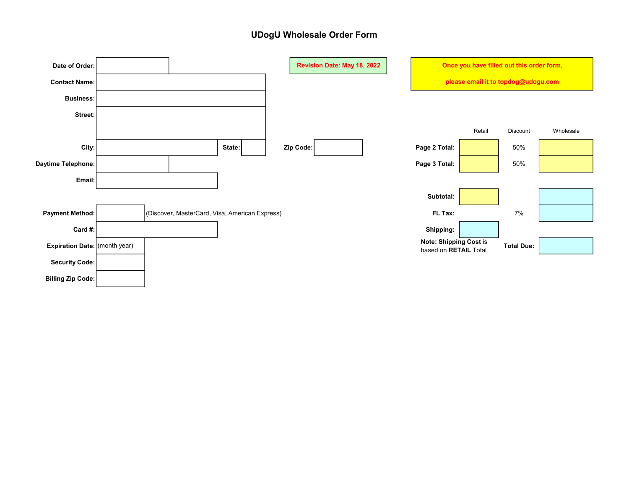## UDogU Wholesale Order Form

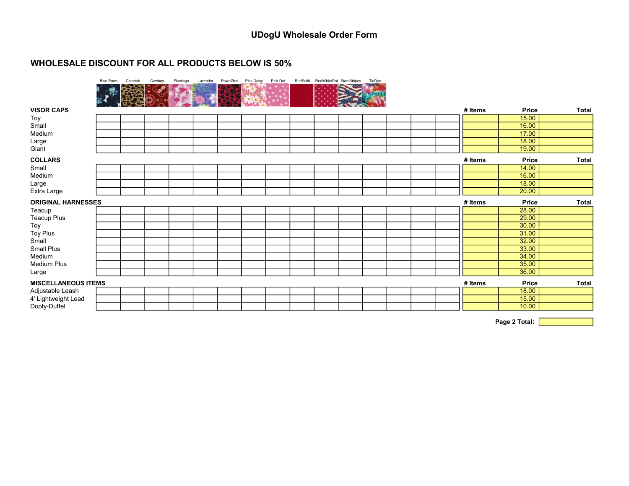# WHOLESALE DISCOUNT FOR ALL PRODUCTS BELOW IS 50%

|                                     | <b>Blue Paws</b> | Cheetah | Cowboy | Flamingo | Lavender | Paws/Red | Pink Daisy | Pink Dot |  | RedSolid RedWhiteDot StarsStripes | TieDye |  |         |                |       |
|-------------------------------------|------------------|---------|--------|----------|----------|----------|------------|----------|--|-----------------------------------|--------|--|---------|----------------|-------|
|                                     |                  |         |        |          |          |          |            |          |  |                                   |        |  |         |                |       |
|                                     |                  |         |        |          |          |          |            |          |  |                                   |        |  |         |                |       |
| <b>VISOR CAPS</b>                   |                  |         |        |          |          |          |            |          |  |                                   |        |  | # Items | <b>Price</b>   |       |
|                                     |                  |         |        |          |          |          |            |          |  |                                   |        |  |         | 15.00          | Total |
| Toy                                 |                  |         |        |          |          |          |            |          |  |                                   |        |  |         |                |       |
| Small                               |                  |         |        |          |          |          |            |          |  |                                   |        |  |         | 16.00          |       |
| Medium                              |                  |         |        |          |          |          |            |          |  |                                   |        |  |         | 17.00          |       |
| Large                               |                  |         |        |          |          |          |            |          |  |                                   |        |  |         | 18.00          |       |
| Giant                               |                  |         |        |          |          |          |            |          |  |                                   |        |  |         | 19.00          |       |
| <b>COLLARS</b>                      |                  |         |        |          |          |          |            |          |  |                                   |        |  | # Items | Price          | Total |
| Small                               |                  |         |        |          |          |          |            |          |  |                                   |        |  |         | 14.00          |       |
| Medium                              |                  |         |        |          |          |          |            |          |  |                                   |        |  |         | 16.00          |       |
| Large                               |                  |         |        |          |          |          |            |          |  |                                   |        |  |         | 18.00          |       |
| Extra Large                         |                  |         |        |          |          |          |            |          |  |                                   |        |  |         | 20.00          |       |
|                                     |                  |         |        |          |          |          |            |          |  |                                   |        |  |         |                |       |
|                                     |                  |         |        |          |          |          |            |          |  |                                   |        |  |         |                |       |
| <b>ORIGINAL HARNESSES</b>           |                  |         |        |          |          |          |            |          |  |                                   |        |  | # Items | Price          | Total |
| Teacup                              |                  |         |        |          |          |          |            |          |  |                                   |        |  |         | 28.00          |       |
| Teacup Plus                         |                  |         |        |          |          |          |            |          |  |                                   |        |  |         | 29.00          |       |
| Toy                                 |                  |         |        |          |          |          |            |          |  |                                   |        |  |         | 30.00<br>31.00 |       |
| Toy Plus<br>Small                   |                  |         |        |          |          |          |            |          |  |                                   |        |  |         | 32.00          |       |
| Small Plus                          |                  |         |        |          |          |          |            |          |  |                                   |        |  |         | 33.00          |       |
| Medium                              |                  |         |        |          |          |          |            |          |  |                                   |        |  |         |                |       |
| Medium Plus                         |                  |         |        |          |          |          |            |          |  |                                   |        |  |         | 34.00<br>35.00 |       |
| Large                               |                  |         |        |          |          |          |            |          |  |                                   |        |  |         | 36.00          |       |
| <b>MISCELLANEOUS ITEMS</b>          |                  |         |        |          |          |          |            |          |  |                                   |        |  | # Items | <b>Price</b>   | Total |
| Adjustable Leash                    |                  |         |        |          |          |          |            |          |  |                                   |        |  |         | 18.00          |       |
| 4' Lightweight Lead<br>Dooty-Duffel |                  |         |        |          |          |          |            |          |  |                                   |        |  |         | 15.00<br>10.00 |       |

Page 2 Total:  $\boxed{\phantom{a}}$